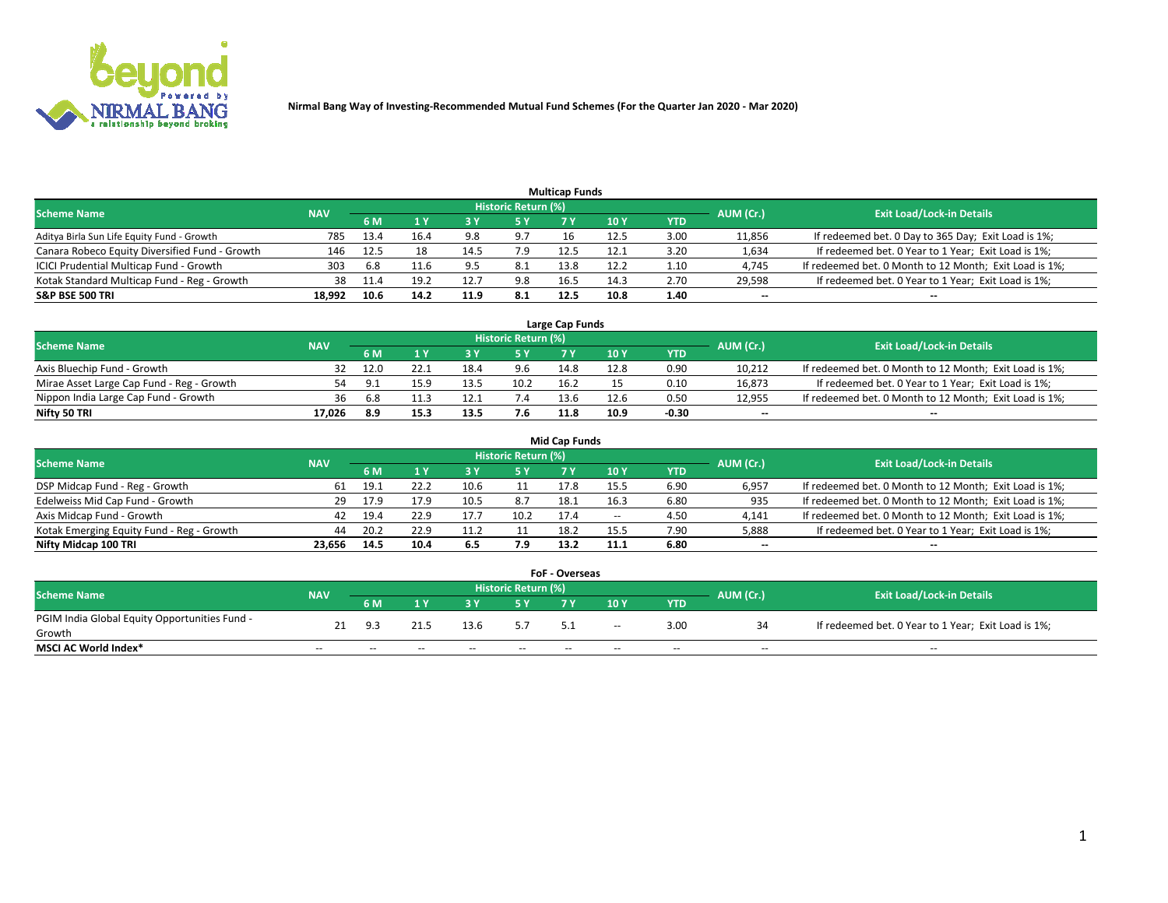

|                                                |            |      |      |      |                     | <b>Multicap Funds</b> |      |      |           |                                                        |
|------------------------------------------------|------------|------|------|------|---------------------|-----------------------|------|------|-----------|--------------------------------------------------------|
| <b>Scheme Name</b>                             | <b>NAV</b> |      |      |      | Historic Return (%) |                       |      |      | AUM (Cr.) | <b>Exit Load/Lock-in Details</b>                       |
|                                                |            | 6 M  |      |      | 5 Y                 |                       | 10 Y | YTD  |           |                                                        |
| Aditya Birla Sun Life Equity Fund - Growth     | 785        | 13.4 | 16.4 | 9.8  |                     |                       | 12.5 | 3.00 | 11,856    | If redeemed bet. 0 Day to 365 Day; Exit Load is 1%;    |
| Canara Robeco Equity Diversified Fund - Growth | 146        | 12.5 |      | 14.5 | 7.9                 | 12.5                  | 12.1 | 3.20 | 1,634     | If redeemed bet. 0 Year to 1 Year; Exit Load is 1%;    |
| ICICI Prudential Multicap Fund - Growth        | 303        | 6.8  | 11.6 | 9.5  | 8.1                 | 13.8                  | 12.2 | 1.10 | 4,745     | If redeemed bet. 0 Month to 12 Month; Exit Load is 1%; |
| Kotak Standard Multicap Fund - Reg - Growth    | 38         | 11.4 | 19.2 | 12.7 | 9.8                 | 16.5                  | 14.3 | 2.70 | 29,598    | If redeemed bet. 0 Year to 1 Year; Exit Load is 1%;    |
| <b>S&amp;P BSE 500 TRI</b>                     | 18.992     | 10.6 | 14.2 | 11.9 | 8.1                 | 12.5                  | 10.8 | 1.40 | $\sim$    | $-$                                                    |

| Large Cap Funds                           |            |      |      |      |                            |      |      |         |           |                                                        |  |  |  |  |
|-------------------------------------------|------------|------|------|------|----------------------------|------|------|---------|-----------|--------------------------------------------------------|--|--|--|--|
| Scheme Name                               | <b>NAV</b> |      |      |      | <b>Historic Return (%)</b> |      |      |         | AUM (Cr.) | <b>Exit Load/Lock-in Details</b>                       |  |  |  |  |
|                                           |            | 6 M  |      |      | 5 Y                        |      | 10Y  | YTD     |           |                                                        |  |  |  |  |
| Axis Bluechip Fund - Growth               |            | 12.0 |      | 18.4 | 9.6                        | 14.8 | 12.8 | 0.90    | 10,212    | If redeemed bet. 0 Month to 12 Month; Exit Load is 1%; |  |  |  |  |
| Mirae Asset Large Cap Fund - Reg - Growth | 54         | O 1  | 15.9 | 13.5 | 10.2                       | 16.2 |      | 0.10    | 16,873    | If redeemed bet. 0 Year to 1 Year; Exit Load is 1%;    |  |  |  |  |
| Nippon India Large Cap Fund - Growth      | 36         | 6.8  |      |      | 7.4                        | 13 G | 12.6 | 0.50    | 12,955    | If redeemed bet. 0 Month to 12 Month; Exit Load is 1%; |  |  |  |  |
| Nifty 50 TRI                              | 17.026     | 8.9  | 15.3 | 13.5 | 7.6                        | 11.8 | 10.9 | $-0.30$ | $\sim$    | $-$                                                    |  |  |  |  |

|                                           |            |      |      |      |                     | <b>Mid Cap Funds</b> |        |            |           |                                                        |
|-------------------------------------------|------------|------|------|------|---------------------|----------------------|--------|------------|-----------|--------------------------------------------------------|
| <b>Scheme Name</b>                        | <b>NAV</b> |      |      |      | Historic Return (%) |                      |        |            | AUM (Cr.) | <b>Exit Load/Lock-in Details</b>                       |
|                                           |            | 6 M  | 1 Y  |      |                     |                      | 10Y    | <b>YTD</b> |           |                                                        |
| DSP Midcap Fund - Reg - Growth            | 61         | 19.1 | 22.2 | 10.6 |                     | 17.8                 | 15.5   | 6.90       | 6,957     | If redeemed bet. 0 Month to 12 Month; Exit Load is 1%; |
| Edelweiss Mid Cap Fund - Growth           | 29.        | 17.9 |      | 10.5 | 8.7                 | 18.1                 | 16.3   | 6.80       | 935       | If redeemed bet. 0 Month to 12 Month; Exit Load is 1%; |
| Axis Midcap Fund - Growth                 | 42         | 19.4 | 22.9 | 17.  | 10.2                | 17.4                 | $\sim$ | 4.50       | 4,141     | If redeemed bet. 0 Month to 12 Month; Exit Load is 1%; |
| Kotak Emerging Equity Fund - Reg - Growth | 44         | 20.2 | 22.9 | 11.2 |                     | 18.2                 | 15.5   | 7.90       | 5,888     | If redeemed bet. 0 Year to 1 Year; Exit Load is 1%;    |
| Nifty Midcap 100 TRI                      | 23.656     | 14.5 | 10.4 | 6.5  | 7.9                 | 13.2                 | 11.1   | 6.80       | $\sim$    | $- -$                                                  |

| <b>FoF - Overseas</b>                         |            |           |       |                            |                                  |     |               |            |           |                                                     |  |  |  |
|-----------------------------------------------|------------|-----------|-------|----------------------------|----------------------------------|-----|---------------|------------|-----------|-----------------------------------------------------|--|--|--|
| <b>Scheme Name</b>                            | <b>NAV</b> |           |       | <b>Historic Return (%)</b> | <b>Exit Load/Lock-in Details</b> |     |               |            |           |                                                     |  |  |  |
|                                               |            | <b>6M</b> |       |                            |                                  |     | 10Y           | <b>YTD</b> | AUM (Cr.) |                                                     |  |  |  |
| PGIM India Global Equity Opportunities Fund - |            | ാ         |       | 13.6                       |                                  | 5.1 | $\sim$ $\sim$ | 3.00       |           | If redeemed bet. 0 Year to 1 Year; Exit Load is 1%; |  |  |  |
| Growth                                        | 21         |           |       |                            |                                  |     |               |            |           |                                                     |  |  |  |
| <b>MSCI AC World Index*</b>                   | $- -$      | $- -$     | $- -$ | $- -$                      | $- -$                            | --  | $- -$         | $- -$      | $- -$     | $ -$                                                |  |  |  |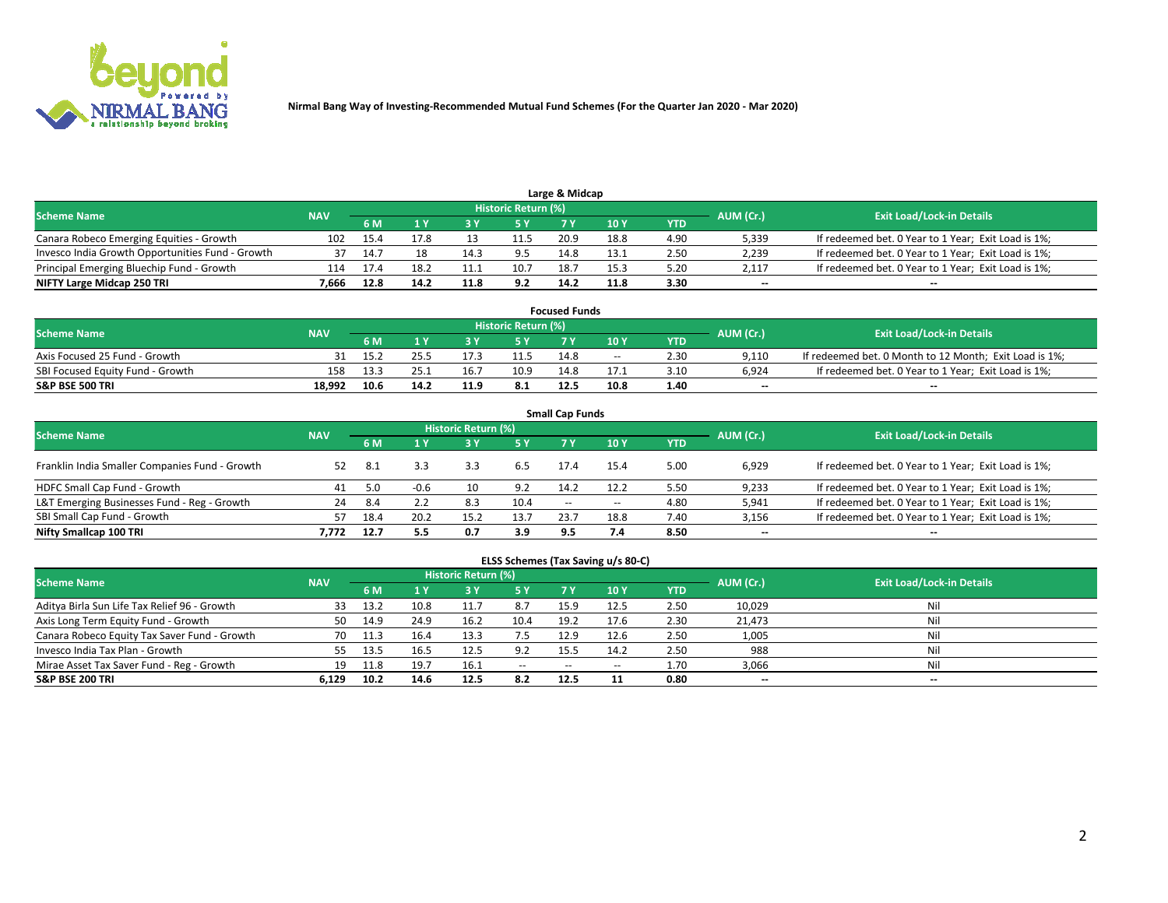

|                                                  |            |      |      |      | Historic Return (%) | Large & Midcap |      |            |                          |                                                     |
|--------------------------------------------------|------------|------|------|------|---------------------|----------------|------|------------|--------------------------|-----------------------------------------------------|
| <b>Scheme Name</b>                               | <b>NAV</b> | 6 M  |      |      | 5 Y                 |                | 10Y  | <b>YTD</b> | AUM (Cr.)                | <b>Exit Load/Lock-in Details</b>                    |
| Canara Robeco Emerging Equities - Growth         | 102        | 15.4 |      |      | 11.5                | 20.9           | 18.8 | 4.90       | 5,339                    | If redeemed bet. 0 Year to 1 Year; Exit Load is 1%; |
| Invesco India Growth Opportunities Fund - Growth |            | 14.7 | 18   | 14.3 | 9.5                 | 14.8           | 13.1 | 2.50       | 2,239                    | If redeemed bet. 0 Year to 1 Year; Exit Load is 1%; |
| Principal Emerging Bluechip Fund - Growth        | 114        | 17.4 | 18.2 |      | 10.7                | 18.7           | 15.3 | 5.20       | 2,117                    | If redeemed bet. 0 Year to 1 Year; Exit Load is 1%; |
| NIFTY Large Midcap 250 TRI                       | 7.666      | 12.8 | 14.2 | 11.8 | 9.2                 | 14.2           | 11.8 | 3.30       | $\overline{\phantom{a}}$ | $\overline{\phantom{a}}$                            |

| <b>Focused Funds</b>             |            |      |      |      |                     |      |               |            |           |                                                        |  |  |  |
|----------------------------------|------------|------|------|------|---------------------|------|---------------|------------|-----------|--------------------------------------------------------|--|--|--|
| <b>Scheme Name</b>               | <b>NAV</b> |      |      |      | Historic Return (%) |      |               |            | AUM (Cr.) | <b>Exit Load/Lock-in Details</b>                       |  |  |  |
|                                  |            | 6 M  |      |      |                     |      | $\sqrt{10}$ Y | <b>YTD</b> |           |                                                        |  |  |  |
| Axis Focused 25 Fund - Growth    |            |      |      |      |                     | 14.8 | $- -$         | 2.30       | 9.110     | If redeemed bet. 0 Month to 12 Month; Exit Load is 1%; |  |  |  |
| SBI Focused Equity Fund - Growth | 158        | 13.3 | 25.1 |      | 10.9                | 14.8 | 17.1          | 3.10       | 6.924     | If redeemed bet. 0 Year to 1 Year; Exit Load is 1%;    |  |  |  |
| <b>S&amp;P BSE 500 TRI</b>       | 18.992     |      | 14.2 | 11.9 | -8.1                | 12.5 | 10.8          | 1.40       | $\sim$    | $- -$                                                  |  |  |  |

|                                                |            |      |        |                     |      | <b>Small Cap Funds</b> |       |            |           |                                                     |
|------------------------------------------------|------------|------|--------|---------------------|------|------------------------|-------|------------|-----------|-----------------------------------------------------|
| <b>Scheme Name</b>                             | <b>NAV</b> |      |        | Historic Return (%) |      |                        |       |            | AUM (Cr.) | <b>Exit Load/Lock-in Details</b>                    |
|                                                |            | 6 M  |        |                     | 5 Y  |                        | 10Y   | <b>YTD</b> |           |                                                     |
| Franklin India Smaller Companies Fund - Growth | 52         | -8.1 |        | 3.3                 | 6.5  | 17.4                   | 15.4  | 5.00       | 6,929     | If redeemed bet. 0 Year to 1 Year; Exit Load is 1%; |
| HDFC Small Cap Fund - Growth                   | 41         |      | $-0.6$ | 10                  | 9.2  | 14.2                   | 12.2  | 5.50       | 9,233     | If redeemed bet. 0 Year to 1 Year; Exit Load is 1%; |
| L&T Emerging Businesses Fund - Reg - Growth    | 24         | -8.4 | 2.2    | 8.3                 | 10.4 | $ -$                   | $- -$ | 4.80       | 5,941     | If redeemed bet. 0 Year to 1 Year; Exit Load is 1%; |
| SBI Small Cap Fund - Growth                    | 57         | 18.4 | 20.2   | 15.2                | 13.7 | 23.7                   | 18.8  | 7.40       | 3,156     | If redeemed bet. 0 Year to 1 Year; Exit Load is 1%; |
| Nifty Smallcap 100 TRI                         | 7.772      | 12.7 | 5.5    | 0.7                 | 3.9  |                        | 7.4   | 8.50       | $\sim$    | $- -$                                               |

## **ELSS Schemes (Tax Saving u/s 80-C)**

| <b>Scheme Name</b>                           | <b>NAV</b> |      |      | <b>Historic Return (%)</b> |           |                          |                          |      | AUM (Cr.) | <b>Exit Load/Lock-in Details</b> |
|----------------------------------------------|------------|------|------|----------------------------|-----------|--------------------------|--------------------------|------|-----------|----------------------------------|
|                                              |            | 6 M  | 4 Y  | 73 Y                       | <b>5Y</b> | 7 Y                      | $-10V$                   | YTD  |           |                                  |
| Aditya Birla Sun Life Tax Relief 96 - Growth |            | 13.2 | 10.8 |                            | 8.7       | 15.9                     | 12.5                     | 2.50 | 10,029    | Nil                              |
| Axis Long Term Equity Fund - Growth          | 50         | 14.9 | 24.9 | 16.2                       | 10.4      | 19.2                     | 17.6                     | 2.30 | 21,473    | Nil                              |
| Canara Robeco Equity Tax Saver Fund - Growth | 70         | 11.3 | 16.4 | 13.3                       | כ.        | 12.9                     | 12.6                     | 2.50 | 1,005     | Nil                              |
| Invesco India Tax Plan - Growth              | 55         | 13.5 | 16.5 | 12.5                       | 9.2       | 15.5                     | 14.2                     | 2.50 | 988       | Nil                              |
| Mirae Asset Tax Saver Fund - Reg - Growth    | 19         | 11.8 | 19.7 | 16.1                       | $\sim$    | $\overline{\phantom{a}}$ | $\overline{\phantom{a}}$ | 1.70 | 3,066     | Nil                              |
| S&P BSE 200 TRI                              | 6.129      | 10.2 | 14.6 | 12.5                       | 8.2       | 12.5                     |                          | 0.80 | $\sim$    | $- -$                            |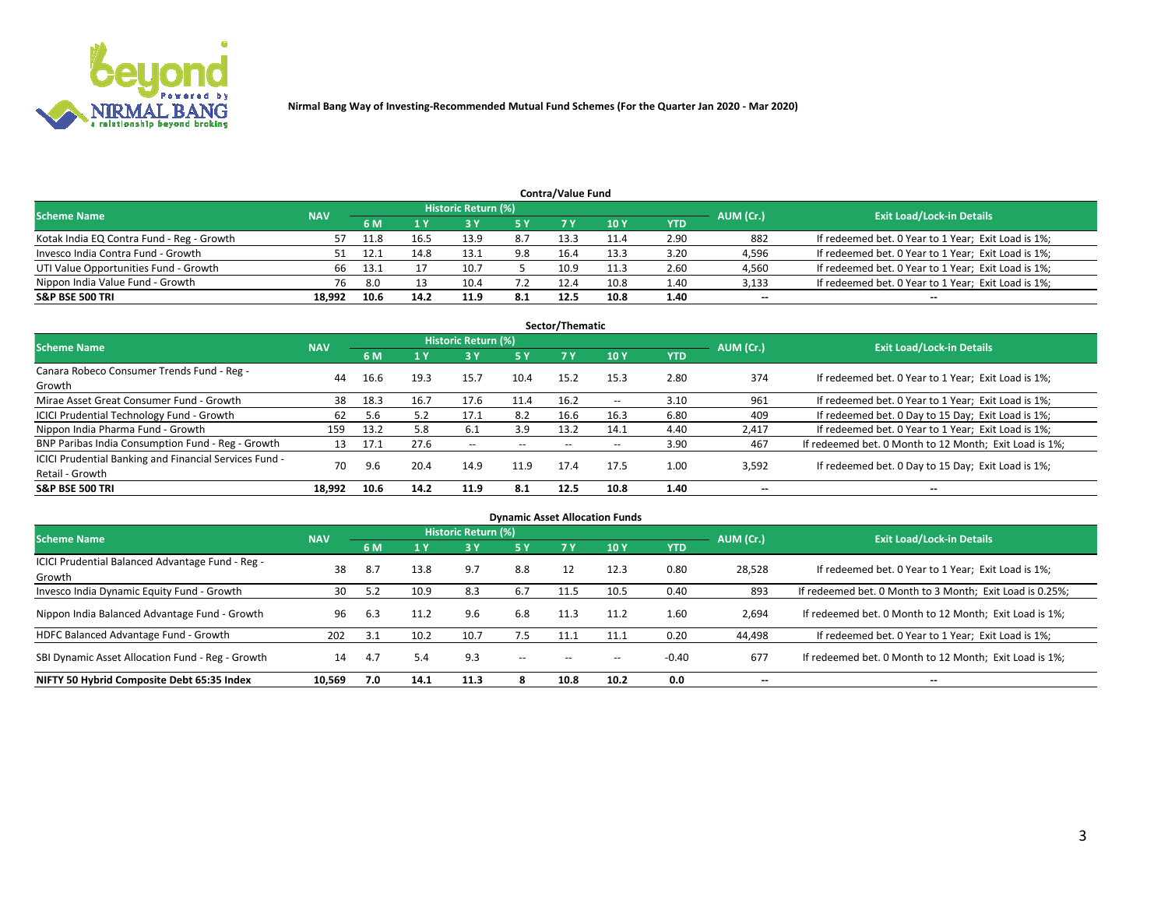

|                                           |            |      |      | Historic Return (%) |     | <b>Contra/Value Fund</b> |      |      |           |                                                     |
|-------------------------------------------|------------|------|------|---------------------|-----|--------------------------|------|------|-----------|-----------------------------------------------------|
| <b>Scheme Name</b>                        | <b>NAV</b> | 6 M  |      |                     | 5 Y | 7 V                      | 10Y  | YTD  | AUM (Cr.) | <b>Exit Load/Lock-in Details</b>                    |
| Kotak India EQ Contra Fund - Reg - Growth |            | 11.8 | 16.5 | 13.9                | 8.7 | 13.5                     |      | 2.90 | 882       | If redeemed bet. 0 Year to 1 Year; Exit Load is 1%; |
| Invesco India Contra Fund - Growth        |            |      | 14.8 | 13.1                | 9.8 | 16.4                     | 13.3 | 3.20 | 4,596     | If redeemed bet. 0 Year to 1 Year; Exit Load is 1%; |
| UTI Value Opportunities Fund - Growth     | 66         | 13.1 |      | 10.7                |     | 10.9                     | 11.3 | 2.60 | 4,560     | If redeemed bet. 0 Year to 1 Year; Exit Load is 1%; |
| Nippon India Value Fund - Growth          | 76         | -8.0 |      |                     |     | 12.4                     | 10.8 | 1.40 | 3,133     | If redeemed bet. 0 Year to 1 Year; Exit Load is 1%; |
| <b>S&amp;P BSE 500 TRI</b>                | 18.992     |      | 14.2 | 11.9                | 8.1 | 12.5                     | 10.8 | 1.40 | $\sim$    | $- -$                                               |

| Sector/Thematic                                                           |            |      |      |                          |           |       |                          |            |                          |                                                        |  |  |  |
|---------------------------------------------------------------------------|------------|------|------|--------------------------|-----------|-------|--------------------------|------------|--------------------------|--------------------------------------------------------|--|--|--|
| <b>Scheme Name</b>                                                        | <b>NAV</b> |      |      | Historic Return (%)      |           |       |                          |            | AUM (Cr.)                | <b>Exit Load/Lock-in Details</b>                       |  |  |  |
|                                                                           |            | 6 M  | 1 Y  | 73 Y                     | <b>5Y</b> | 7 Y   | 10Y                      | <b>YTD</b> |                          |                                                        |  |  |  |
| Canara Robeco Consumer Trends Fund - Reg -<br>Growth                      | 44         | 16.6 | 19.3 | 15.7                     | 10.4      | 15.2  | 15.3                     | 2.80       | 374                      | If redeemed bet. 0 Year to 1 Year; Exit Load is 1%;    |  |  |  |
| Mirae Asset Great Consumer Fund - Growth                                  | 38         | 18.3 | 16.7 | 17.6                     | 11.4      | 16.2  | $\overline{\phantom{a}}$ | 3.10       | 961                      | If redeemed bet. 0 Year to 1 Year; Exit Load is 1%;    |  |  |  |
| ICICI Prudential Technology Fund - Growth                                 | 62         | 5.6  | 5.2  | 17.1                     | 8.2       | 16.6  | 16.3                     | 6.80       | 409                      | If redeemed bet. 0 Day to 15 Day; Exit Load is 1%;     |  |  |  |
| Nippon India Pharma Fund - Growth                                         | 159        | 13.2 | 5.8  | 6.1                      | 3.9       | 13.2  | 14.1                     | 4.40       | 2,417                    | If redeemed bet. 0 Year to 1 Year; Exit Load is 1%;    |  |  |  |
| BNP Paribas India Consumption Fund - Reg - Growth                         | 13         | 17.1 | 27.6 | $\overline{\phantom{a}}$ | $- -$     | $- -$ | $- -$                    | 3.90       | 467                      | If redeemed bet. 0 Month to 12 Month; Exit Load is 1%; |  |  |  |
| ICICI Prudential Banking and Financial Services Fund -<br>Retail - Growth | 70         | 9.6  | 20.4 | 14.9                     | 11.9      | 17.4  | 17.5                     | 1.00       | 3,592                    | If redeemed bet. 0 Day to 15 Day; Exit Load is 1%;     |  |  |  |
| <b>S&amp;P BSE 500 TRI</b>                                                | 18.992     | 10.6 | 14.2 | 11.9                     | 8.1       | 12.5  | 10.8                     | 1.40       | $\overline{\phantom{a}}$ | $\overline{\phantom{a}}$                               |  |  |  |

| <b>Dynamic Asset Allocation Funds</b>                      |            |     |      |                     |               |           |      |            |                          |                                                          |  |  |  |
|------------------------------------------------------------|------------|-----|------|---------------------|---------------|-----------|------|------------|--------------------------|----------------------------------------------------------|--|--|--|
| <b>Scheme Name</b>                                         | <b>NAV</b> |     |      | Historic Return (%) |               |           |      |            | AUM (Cr.)                | <b>Exit Load/Lock-in Details</b>                         |  |  |  |
|                                                            |            | 6 M |      | 3 Y                 | 5 Y           | <b>7Y</b> | 10Y  | <b>YTD</b> |                          |                                                          |  |  |  |
| ICICI Prudential Balanced Advantage Fund - Reg -<br>Growth | 38         | 8.7 | 13.8 | 9.7                 | 8.8           | 12        | 12.3 | 0.80       | 28,528                   | If redeemed bet. 0 Year to 1 Year; Exit Load is 1%;      |  |  |  |
| Invesco India Dynamic Equity Fund - Growth                 | 30         | 5.2 | 10.9 | 8.3                 | 6.7           | 11.5      | 10.5 | 0.40       | 893                      | If redeemed bet. 0 Month to 3 Month; Exit Load is 0.25%; |  |  |  |
| Nippon India Balanced Advantage Fund - Growth              | 96         | 6.3 | 11.2 | 9.6                 | 6.8           | 11.3      | 11.2 | 1.60       | 2,694                    | If redeemed bet. 0 Month to 12 Month; Exit Load is 1%;   |  |  |  |
| HDFC Balanced Advantage Fund - Growth                      | 202        | 3.1 | 10.2 | 10.7                | 7.5           | 11.1      | 11.1 | 0.20       | 44,498                   | If redeemed bet. 0 Year to 1 Year; Exit Load is 1%;      |  |  |  |
| SBI Dynamic Asset Allocation Fund - Reg - Growth           | 14         | 4.7 | 5.4  | 9.3                 | $\sim$ $\sim$ | $- -$     | --   | $-0.40$    | 677                      | If redeemed bet. 0 Month to 12 Month; Exit Load is 1%;   |  |  |  |
| NIFTY 50 Hybrid Composite Debt 65:35 Index                 | 10,569     | 7.0 | 14.1 | 11.3                | 8             | 10.8      | 10.2 | 0.0        | $\overline{\phantom{a}}$ | $- -$                                                    |  |  |  |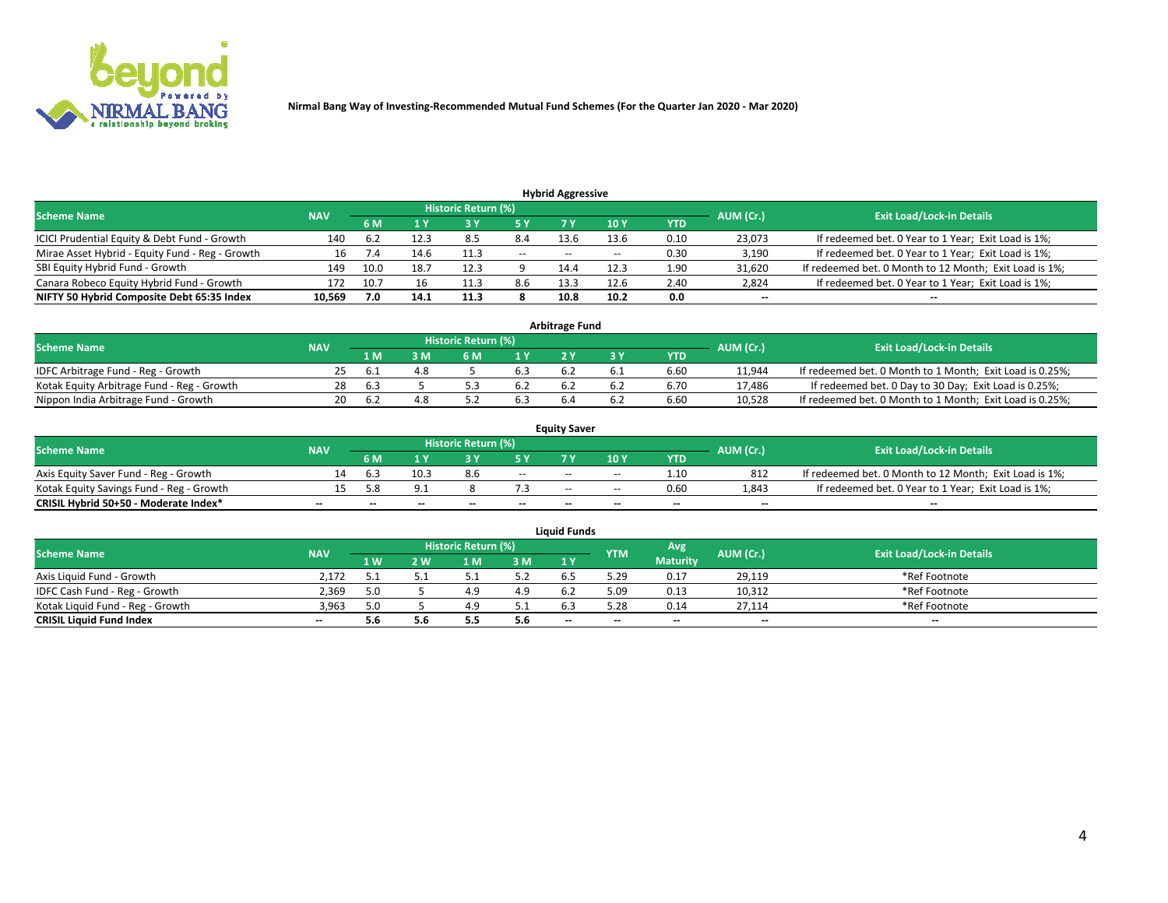

|                                                 |            |      |      |                     |       | <b>Hybrid Aggressive</b> |                 |      |                          |                                                        |
|-------------------------------------------------|------------|------|------|---------------------|-------|--------------------------|-----------------|------|--------------------------|--------------------------------------------------------|
| <b>Scheme Name</b>                              | <b>NAV</b> |      |      | Historic Return (%) |       |                          |                 |      | AUM (Cr.)                | <b>Exit Load/Lock-in Details</b>                       |
|                                                 |            | 6 M  |      |                     | 5 Y   | 7 Y                      | 10 <sub>Y</sub> | YTD  |                          |                                                        |
| ICICI Prudential Equity & Debt Fund - Growth    | 140        | 6.2  | 12.3 | -8.5                | 8.4   | 13.6                     | 13.6            | 0.10 | 23,073                   | If redeemed bet. 0 Year to 1 Year; Exit Load is 1%;    |
| Mirae Asset Hybrid - Equity Fund - Reg - Growth |            |      | 14.6 | 11.3                | $- -$ | $- -$                    | $- -$           | 0.30 | 3,190                    | If redeemed bet. 0 Year to 1 Year; Exit Load is 1%;    |
| SBI Equity Hybrid Fund - Growth                 | 149        | 10.0 | 18.7 | 12.3                |       | 14.4                     | 12.3            | 1.90 | 31,620                   | If redeemed bet. 0 Month to 12 Month; Exit Load is 1%; |
| Canara Robeco Equity Hybrid Fund - Growth       | 172        | 10.7 | 16   | 11.3                | 8.6   | 13.5                     | 12.6            | 2.40 | 2,824                    | If redeemed bet. 0 Year to 1 Year; Exit Load is 1%;    |
| NIFTY 50 Hybrid Composite Debt 65:35 Index      | 10,569     | 7.0  | 14.1 | 11.3                |       | 10.8                     | 10.2            | 0.0  | $\overline{\phantom{a}}$ | $- -$                                                  |

|                                            |            |           |                                  |     |     | <b>Arbitrage Fund</b> |      |        |                                                          |
|--------------------------------------------|------------|-----------|----------------------------------|-----|-----|-----------------------|------|--------|----------------------------------------------------------|
| Scheme Name                                | <b>NAV</b> | AUM (Cr.) | <b>Exit Load/Lock-in Details</b> |     |     |                       |      |        |                                                          |
|                                            |            | 1 M       | ያ M                              | 6 M |     |                       | YTD  |        |                                                          |
| IDFC Arbitrage Fund - Reg - Growth         | 25.        | . b. 1    |                                  |     | 6.3 |                       | 6.60 | 11,944 | If redeemed bet. 0 Month to 1 Month; Exit Load is 0.25%; |
| Kotak Equity Arbitrage Fund - Reg - Growth | 28         | -6.3      |                                  |     | 6.2 |                       | 6.70 | 17,486 | If redeemed bet. 0 Day to 30 Day; Exit Load is 0.25%;    |
| Nippon India Arbitrage Fund - Growth       | 20         | h.        |                                  |     | 6.3 |                       | 6.60 | 10.528 | If redeemed bet. 0 Month to 1 Month; Exit Load is 0.25%; |

|                                          |            |           |                                  |                          |                          | <b>Equity Saver</b> |        |            |                          |                                                        |
|------------------------------------------|------------|-----------|----------------------------------|--------------------------|--------------------------|---------------------|--------|------------|--------------------------|--------------------------------------------------------|
| Scheme Name                              | <b>NAV</b> | AUM (Cr.) | <b>Exit Load/Lock-in Details</b> |                          |                          |                     |        |            |                          |                                                        |
|                                          |            | 6 M       |                                  |                          |                          |                     | 10 Y   | <b>YTD</b> |                          |                                                        |
| Axis Equity Saver Fund - Reg - Growth    |            | h.1       | 10.3                             | 8.6                      | $\sim$ $\sim$            | $- -$               | $\sim$ | 1.10       | 812                      | If redeemed bet. 0 Month to 12 Month; Exit Load is 1%; |
| Kotak Equity Savings Fund - Reg - Growth |            | .8        |                                  |                          |                          | $- -$               | $- -$  | 0.60       | 1,843                    | If redeemed bet. 0 Year to 1 Year; Exit Load is 1%;    |
| CRISIL Hybrid 50+50 - Moderate Index*    |            | --        | $-$                              | $\overline{\phantom{a}}$ | $\overline{\phantom{a}}$ | --                  | --     | $- -$      | $\overline{\phantom{a}}$ | $-$                                                    |

| <b>Liquid Funds</b>              |            |      |     |                            |      |                          |            |                 |           |                                  |  |  |  |  |
|----------------------------------|------------|------|-----|----------------------------|------|--------------------------|------------|-----------------|-----------|----------------------------------|--|--|--|--|
| Scheme Name                      | <b>NAV</b> |      |     | <b>Historic Return (%)</b> |      |                          | <b>YTM</b> | Avg             | AUM (Cr.) | <b>Exit Load/Lock-in Details</b> |  |  |  |  |
|                                  |            | 1 W. | 2 W | 1 M                        | 3 M  | 71 Y                     |            | <b>Maturity</b> |           |                                  |  |  |  |  |
| Axis Liquid Fund - Growth        | 2,172      |      |     |                            | 5.2  |                          | 5.29       | 0.17            | 29,119    | *Ref Footnote                    |  |  |  |  |
| IDFC Cash Fund - Reg - Growth    | 2.369      | 5.0  |     | 4.9                        | 4.9  | 62                       | 5.09       | 0.13            | 10,312    | *Ref Footnote                    |  |  |  |  |
| Kotak Liquid Fund - Reg - Growth | 3,963      |      |     |                            | ۰۰ ت |                          | 5.28       | 0.14            | 27,114    | *Ref Footnote                    |  |  |  |  |
| <b>CRISIL Liquid Fund Index</b>  | $\sim$     | 5.6  |     |                            | 5.6  | $\overline{\phantom{a}}$ | $-$        | $\sim$          | $\sim$    | $\sim$                           |  |  |  |  |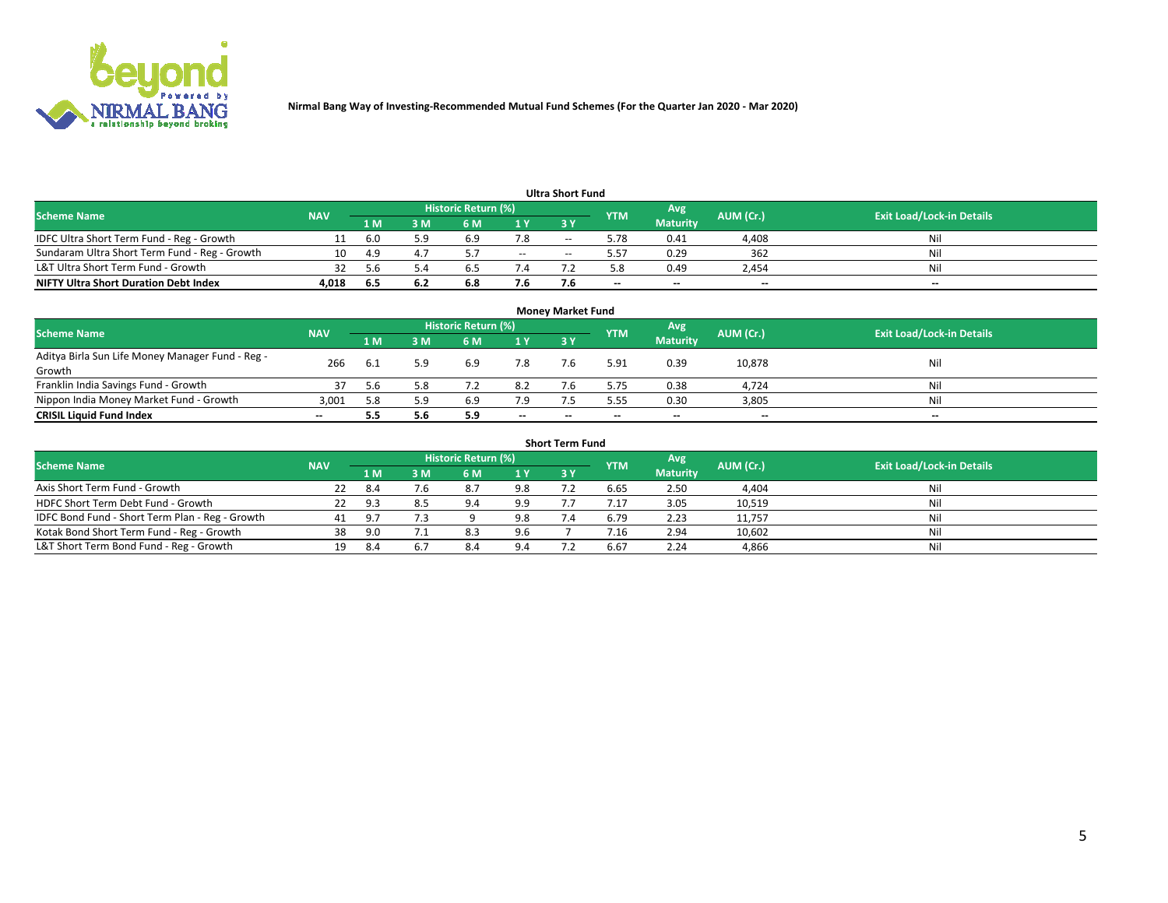

|                                               |            |      |     |                     |       | <b>Ultra Short Fund</b> |            |                 |           |                                  |
|-----------------------------------------------|------------|------|-----|---------------------|-------|-------------------------|------------|-----------------|-----------|----------------------------------|
| <b>Scheme Name</b>                            | <b>NAV</b> |      |     | Historic Return (%) |       |                         | <b>YTM</b> | Avg             | AUM (Cr.) | <b>Exit Load/Lock-in Details</b> |
|                                               |            | 1 M  | 3 M | 6 M                 | 1 Y   | 3 Y                     |            | <b>Maturity</b> |           |                                  |
| IDFC Ultra Short Term Fund - Reg - Growth     |            | -6.0 | 5.9 | 6.9                 | 7.8   | $- -$                   | 5.78       | 0.41            | 4,408     | Nil                              |
| Sundaram Ultra Short Term Fund - Reg - Growth | 10         | -4.9 |     |                     | $- -$ | --                      | 5.57       | 0.29            | 362       | Nil                              |
| L&T Ultra Short Term Fund - Growth            |            | 56   |     |                     |       |                         | 5.8        | 0.49            | 2,454     | Nil                              |
| <b>NIFTY Ultra Short Duration Debt Index</b>  | 4.018      | -6.5 | 6.2 | 6.8                 | 7.6   |                         | $\sim$     | $\sim$          | $\sim$    | $- -$                            |

| <b>Money Market Fund</b>                         |            |      |     |                     |        |    |            |                 |           |                                  |  |  |  |
|--------------------------------------------------|------------|------|-----|---------------------|--------|----|------------|-----------------|-----------|----------------------------------|--|--|--|
| <b>Scheme Name</b>                               | <b>NAV</b> |      |     | Historic Return (%) |        |    | <b>YTM</b> | 'Avg            | AUM (Cr.) | <b>Exit Load/Lock-in Details</b> |  |  |  |
|                                                  |            | 1 M  | 3 M | 6 M                 | 1 Y    | 3Y |            | <b>Maturity</b> |           |                                  |  |  |  |
| Aditya Birla Sun Life Money Manager Fund - Reg - | 266        | -6.1 | 5.9 | 6.9                 | 7.8    |    | 5.91       | 0.39            | 10,878    | Nil                              |  |  |  |
| Growth                                           |            |      |     |                     |        |    |            |                 |           |                                  |  |  |  |
| Franklin India Savings Fund - Growth             |            | 5.6  | 5.8 |                     | 8.2    |    | 5.75       | 0.38            | 4,724     | Nil                              |  |  |  |
| Nippon India Money Market Fund - Growth          | 3,001      | 5.8  | 5.9 | 6.9                 | 7.9    |    | 5.55       | 0.30            | 3,805     | Nil                              |  |  |  |
| <b>CRISIL Liquid Fund Index</b>                  | $- -$      |      | 5.6 | 5.9                 | $\sim$ | -- | --         | $\sim$          | $\sim$    | $\sim$                           |  |  |  |

| <b>Short Term Fund</b>                          |            |      |     |                     |     |           |            |                 |           |                                  |  |  |  |  |
|-------------------------------------------------|------------|------|-----|---------------------|-----|-----------|------------|-----------------|-----------|----------------------------------|--|--|--|--|
| <b>Scheme Name</b>                              | <b>NAV</b> |      |     | Historic Return (%) |     |           | <b>YTM</b> | Avg             | AUM (Cr.) | <b>Exit Load/Lock-in Details</b> |  |  |  |  |
|                                                 |            | 1 M  | 3 M | 6 M                 | 1Y  | <b>3Y</b> |            | <b>Maturity</b> |           |                                  |  |  |  |  |
| Axis Short Term Fund - Growth                   |            | -8.4 | 7.6 | 8.7                 | 9.8 |           | 6.65       | 2.50            | 4,404     | Nil                              |  |  |  |  |
| HDFC Short Term Debt Fund - Growth              | 22         | 9.3  | 8.5 | 9.4                 | 9.9 |           | 7.17       | 3.05            | 10,519    | Nil                              |  |  |  |  |
| IDFC Bond Fund - Short Term Plan - Reg - Growth | 41         | -9 7 |     |                     | 9.8 |           | 6.79       | 2.23            | 11,757    | Nil                              |  |  |  |  |
| Kotak Bond Short Term Fund - Reg - Growth       | 38         | 9.0  |     | 8.3                 | 9.6 |           | / .16      | 2.94            | 10,602    | Nil                              |  |  |  |  |
| L&T Short Term Bond Fund - Reg - Growth         |            | 8.4  |     | 8.4                 | 9.4 |           | 6.67       | 2.24            | 4,866     | Nil                              |  |  |  |  |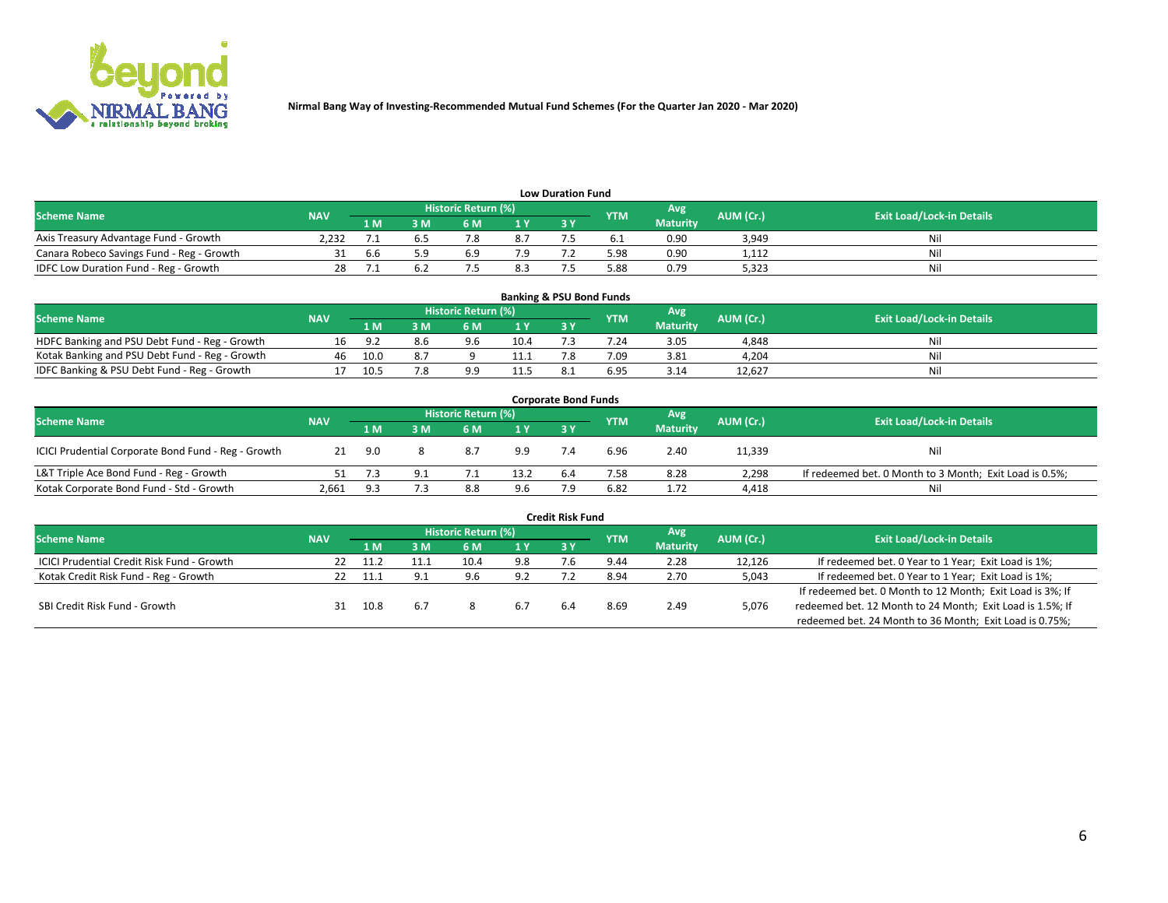

| <b>Low Duration Fund</b>                  |            |     |     |                     |                |     |            |                 |           |                                  |  |  |  |  |
|-------------------------------------------|------------|-----|-----|---------------------|----------------|-----|------------|-----------------|-----------|----------------------------------|--|--|--|--|
| <b>Scheme Name</b>                        | <b>NAV</b> |     |     | Historic Return (%) |                |     | <b>YTM</b> | Avg             | AUM (Cr.) | <b>Exit Load/Lock-in Details</b> |  |  |  |  |
|                                           |            | 1 M | ያ M | 6 M                 | 1 <sub>V</sub> | 3 Y |            | <b>Maturity</b> |           |                                  |  |  |  |  |
| Axis Treasury Advantage Fund - Growth     | 2.232      |     |     |                     | 8.7            |     |            | 0.90            | 3,949     | Nil                              |  |  |  |  |
| Canara Robeco Savings Fund - Reg - Growth |            | .bb | 59. | 6.9                 |                |     | 5.98       | 0.90            | 1,112     | Nil                              |  |  |  |  |
| IDFC Low Duration Fund - Reg - Growth     |            |     |     |                     | 8.3            |     | .88 د      | 0.79            | 5,323     | Nil                              |  |  |  |  |

| <b>Banking &amp; PSU Bond Funds</b>            |            |      |     |                            |      |           |            |                 |           |                                  |  |  |  |
|------------------------------------------------|------------|------|-----|----------------------------|------|-----------|------------|-----------------|-----------|----------------------------------|--|--|--|
| <b>Scheme Name</b>                             | <b>NAV</b> |      |     | <b>Historic Return (%)</b> |      |           | <b>YTM</b> | Avg             | AUM (Cr.) | <b>Exit Load/Lock-in Details</b> |  |  |  |
|                                                |            | 1 M  | sм  | 6 M                        | 71 Y | <b>3Y</b> |            | <b>Maturity</b> |           |                                  |  |  |  |
| HDFC Banking and PSU Debt Fund - Reg - Growth  |            | ാ    | 8.6 | 9.6                        | 10.4 |           | 7.24       | 3.05            | 4,848     | Ni                               |  |  |  |
| Kotak Banking and PSU Debt Fund - Reg - Growth | 46         | 10.0 |     |                            | 11.1 |           | 7.09       | 3.81            | 4,204     | Ni                               |  |  |  |
| IDFC Banking & PSU Debt Fund - Reg - Growth    |            | 10.5 | 7 Q | $\alpha$                   | 11.5 |           | 6.95       | 3.14            | 12.627    | Ni                               |  |  |  |

| <b>Corporate Bond Funds</b>                         |            |           |                                  |     |      |            |            |                 |        |                                                         |  |  |  |
|-----------------------------------------------------|------------|-----------|----------------------------------|-----|------|------------|------------|-----------------|--------|---------------------------------------------------------|--|--|--|
| <b>Scheme Name</b>                                  | <b>NAV</b> | AUM (Cr.) | <b>Exit Load/Lock-in Details</b> |     |      |            |            |                 |        |                                                         |  |  |  |
|                                                     |            | 1 M       | 3 M                              | 6 M | 1 Y  | <b>3 Y</b> | <b>YTM</b> | <b>Maturity</b> |        |                                                         |  |  |  |
| ICICI Prudential Corporate Bond Fund - Reg - Growth |            | 9.0       |                                  | 8.7 | 9.9  |            | 6.96       | 2.40            | 11,339 | Nil                                                     |  |  |  |
| L&T Triple Ace Bond Fund - Reg - Growth             |            |           |                                  |     | 13.2 | 6.4        | 7.58       | 8.28            | 2,298  | If redeemed bet. 0 Month to 3 Month; Exit Load is 0.5%; |  |  |  |
| Kotak Corporate Bond Fund - Std - Growth            | 2,661      | د ۵       |                                  | 8.8 | 9.6  |            | 6.82       | 1.72            | 4,418  | Nil                                                     |  |  |  |

|                                                   |            |      |              |                            |      | <b>Credit Risk Fund</b> |            |                 |           |                                                           |
|---------------------------------------------------|------------|------|--------------|----------------------------|------|-------------------------|------------|-----------------|-----------|-----------------------------------------------------------|
| <b>Scheme Name</b>                                | <b>NAV</b> |      |              | <b>Historic Return (%)</b> |      |                         | <b>YTM</b> | Avg             | AUM (Cr.) | <b>Exit Load/Lock-in Details</b>                          |
|                                                   |            | 1 M  | 3 M          | 6 M                        | 71 Y | 3Y                      |            | <b>Maturity</b> |           |                                                           |
| <b>ICICI Prudential Credit Risk Fund - Growth</b> | 22         | 11.  |              | 10.4                       | 9.8  |                         | 9.44       | 2.28            | 12,126    | If redeemed bet. 0 Year to 1 Year; Exit Load is 1%;       |
| Kotak Credit Risk Fund - Reg - Growth             |            | 11.1 | $^{\circ}$ 1 | 9.6                        | 9.2  |                         | 8.94       | 2.70            | 5,043     | If redeemed bet. 0 Year to 1 Year; Exit Load is 1%;       |
|                                                   |            |      |              |                            |      |                         |            |                 |           | If redeemed bet. 0 Month to 12 Month; Exit Load is 3%; If |
| SBI Credit Risk Fund - Growth                     |            | 10.8 | 6.7          |                            | 6.7  | 6.4                     | 8.69       | 2.49            | 5,076     | redeemed bet. 12 Month to 24 Month; Exit Load is 1.5%; If |
|                                                   |            |      |              |                            |      |                         |            |                 |           | redeemed bet. 24 Month to 36 Month; Exit Load is 0.75%;   |